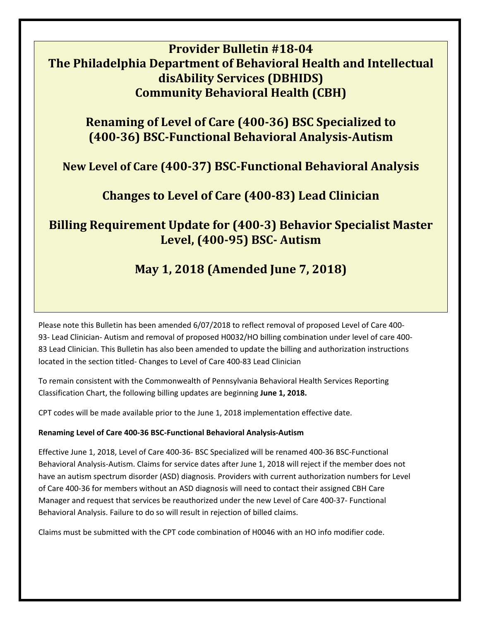## **Provider Bulletin #18‐04 The Philadelphia Department of Behavioral Health and Intellectual disAbility Services (DBHIDS) Community Behavioral Health (CBH)**

# **Renaming of Level of Care (400‐36) BSC Specialized to (400‐36) BSC‐Functional Behavioral Analysis‐Autism**

## **New Level of Care (400‐37) BSC‐Functional Behavioral Analysis**

## **Changes to Level of Care (400‐83) Lead Clinician**

## **Billing Requirement Update for (400‐3) Behavior Specialist Master Level, (400‐95) BSC‐ Autism**

# **May 1, 2018 (Amended June 7, 2018)**

Please note this Bulletin has been amended 6/07/2018 to reflect removal of proposed Level of Care 400‐ 93- Lead Clinician- Autism and removal of proposed H0032/HO billing combination under level of care 400-83 Lead Clinician. This Bulletin has also been amended to update the billing and authorization instructions located in the section titled‐ Changes to Level of Care 400‐83 Lead Clinician

To remain consistent with the Commonwealth of Pennsylvania Behavioral Health Services Reporting Classification Chart, the following billing updates are beginning **June 1, 2018.**

CPT codes will be made available prior to the June 1, 2018 implementation effective date.

## **Renaming Level of Care 400‐36 BSC‐Functional Behavioral Analysis‐Autism**

Effective June 1, 2018, Level of Care 400‐36‐ BSC Specialized will be renamed 400‐36 BSC‐Functional Behavioral Analysis‐Autism. Claims for service dates after June 1, 2018 will reject if the member does not have an autism spectrum disorder (ASD) diagnosis. Providers with current authorization numbers for Level of Care 400‐36 for members without an ASD diagnosis will need to contact their assigned CBH Care Manager and request that services be reauthorized under the new Level of Care 400‐37‐ Functional Behavioral Analysis. Failure to do so will result in rejection of billed claims.

Claims must be submitted with the CPT code combination of H0046 with an HO info modifier code.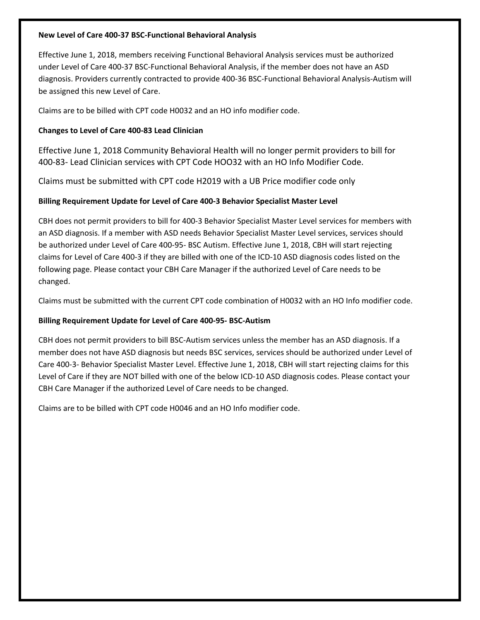### **New Level of Care 400‐37 BSC‐Functional Behavioral Analysis**

Effective June 1, 2018, members receiving Functional Behavioral Analysis services must be authorized under Level of Care 400‐37 BSC‐Functional Behavioral Analysis, if the member does not have an ASD diagnosis. Providers currently contracted to provide 400‐36 BSC‐Functional Behavioral Analysis‐Autism will be assigned this new Level of Care.

Claims are to be billed with CPT code H0032 and an HO info modifier code.

### **Changes to Level of Care 400‐83 Lead Clinician**

Effective June 1, 2018 Community Behavioral Health will no longer permit providers to bill for 400‐83‐ Lead Clinician services with CPT Code HOO32 with an HO Info Modifier Code.

Claims must be submitted with CPT code H2019 with a UB Price modifier code only

### **Billing Requirement Update for Level of Care 400‐3 Behavior Specialist Master Level**

CBH does not permit providers to bill for 400‐3 Behavior Specialist Master Level services for members with an ASD diagnosis. If a member with ASD needs Behavior Specialist Master Level services, services should be authorized under Level of Care 400‐95‐ BSC Autism. Effective June 1, 2018, CBH will start rejecting claims for Level of Care 400‐3 if they are billed with one of the ICD‐10 ASD diagnosis codes listed on the following page. Please contact your CBH Care Manager if the authorized Level of Care needs to be changed.

Claims must be submitted with the current CPT code combination of H0032 with an HO Info modifier code.

### **Billing Requirement Update for Level of Care 400‐95‐ BSC‐Autism**

CBH does not permit providers to bill BSC‐Autism services unless the member has an ASD diagnosis. If a member does not have ASD diagnosis but needs BSC services, services should be authorized under Level of Care 400‐3‐ Behavior Specialist Master Level. Effective June 1, 2018, CBH will start rejecting claims for this Level of Care if they are NOT billed with one of the below ICD-10 ASD diagnosis codes. Please contact your CBH Care Manager if the authorized Level of Care needs to be changed.

Claims are to be billed with CPT code H0046 and an HO Info modifier code.